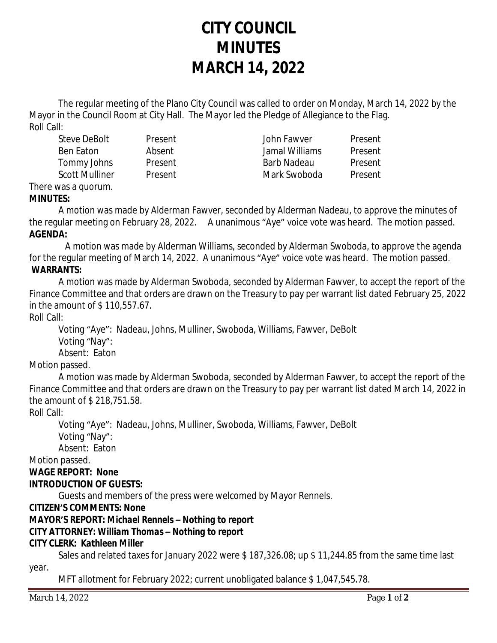# **CITY COUNCIL MINUTES MARCH 14, 2022**

The regular meeting of the Plano City Council was called to order on Monday, March 14, 2022 by the Mayor in the Council Room at City Hall. The Mayor led the Pledge of Allegiance to the Flag. Roll Call:

Steve DeBolt Present John Fawver Present Ben Eaton Absent Jamal Williams Present Tommy Johns Present Barb Nadeau Present Scott Mulliner and Present and Mark Swoboda Present

#### There was a quorum. **MINUTES:**

A motion was made by Alderman Fawver, seconded by Alderman Nadeau, to approve the minutes of the regular meeting on February 28, 2022. A unanimous "Aye" voice vote was heard. The motion passed. **AGENDA:**

 A motion was made by Alderman Williams, seconded by Alderman Swoboda, to approve the agenda for the regular meeting of March 14, 2022. A unanimous "Aye" voice vote was heard. The motion passed. **WARRANTS:**

A motion was made by Alderman Swoboda, seconded by Alderman Fawver, to accept the report of the Finance Committee and that orders are drawn on the Treasury to pay per warrant list dated February 25, 2022 in the amount of \$ 110,557.67.

Roll Call:

Voting "Aye": Nadeau, Johns, Mulliner, Swoboda, Williams, Fawver, DeBolt Voting "Nay": Absent: Eaton

Motion passed.

A motion was made by Alderman Swoboda, seconded by Alderman Fawver, to accept the report of the Finance Committee and that orders are drawn on the Treasury to pay per warrant list dated March 14, 2022 in the amount of \$ 218,751.58.

Roll Call:

Voting "Aye": Nadeau, Johns, Mulliner, Swoboda, Williams, Fawver, DeBolt Voting "Nay": Absent: Eaton

Motion passed.

## **WAGE REPORT: None INTRODUCTION OF GUESTS:**

Guests and members of the press were welcomed by Mayor Rennels.

## **CITIZEN'S COMMENTS: None**

## **MAYOR'S REPORT:** *Michael Rennels – Nothing to report*

## **CITY ATTORNEY:** *William Thomas – Nothing to report*

## **CITY CLERK:** *Kathleen Miller*

Sales and related taxes for January 2022 were \$ 187,326.08; up \$ 11,244.85 from the same time last year.

MFT allotment for February 2022; current unobligated balance \$ 1,047,545.78.